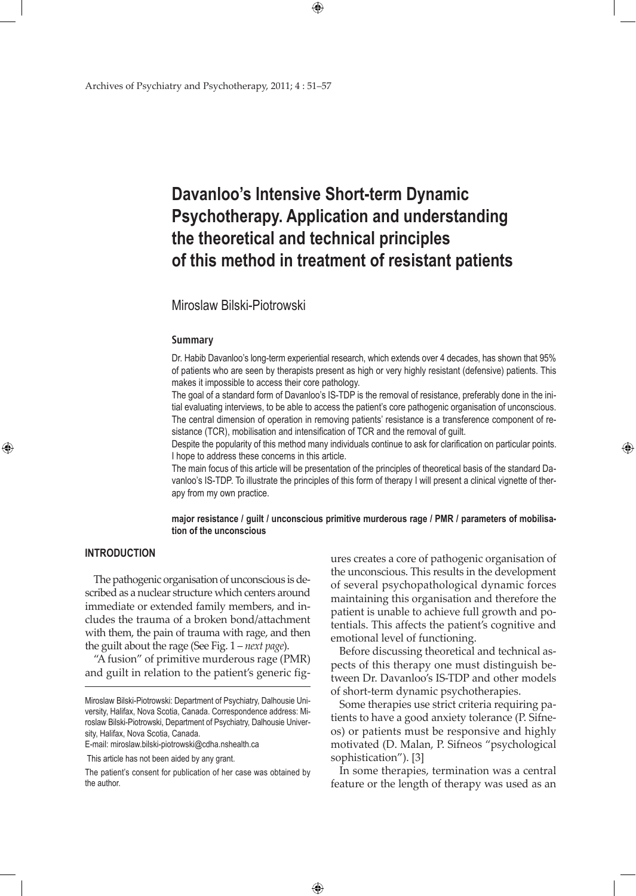## **Davanloo's Intensive Short-term Dynamic Psychotherapy. Application and understanding the theoretical and technical principles of this method in treatment of resistant patients**

 $\bigoplus$ 

## Miroslaw Bilski-Piotrowski

#### **Summary**

Dr. Habib Davanloo's long-term experiential research, which extends over 4 decades, has shown that 95% of patients who are seen by therapists present as high or very highly resistant (defensive) patients. This makes it impossible to access their core pathology.

The goal of a standard form of Davanloo's IS-TDP is the removal of resistance, preferably done in the initial evaluating interviews, to be able to access the patient's core pathogenic organisation of unconscious. The central dimension of operation in removing patients' resistance is a transference component of resistance (TCR), mobilisation and intensification of TCR and the removal of guilt.

Despite the popularity of this method many individuals continue to ask for clarification on particular points. I hope to address these concerns in this article.

The main focus of this article will be presentation of the principles of theoretical basis of the standard Davanloo's IS-TDP. To illustrate the principles of this form of therapy I will present a clinical vignette of therapy from my own practice.

**major resistance / guilt / unconscious primitive murderous rage / PMR / parameters of mobilisation of the unconscious**

 $\bigoplus$ 

### **INTRODUCTION**

⊕

The pathogenic organisation of unconscious is described as a nuclear structure which centers around immediate or extended family members, and includes the trauma of a broken bond/attachment with them, the pain of trauma with rage, and then the guilt about the rage (See Fig. 1 – *next page*).

"A fusion" of primitive murderous rage (PMR) and guilt in relation to the patient's generic fig-

E-mail: miroslaw.bilski-piotrowski@cdha.nshealth.ca

This article has not been aided by any grant.

ures creates a core of pathogenic organisation of the unconscious. This results in the development of several psychopathological dynamic forces maintaining this organisation and therefore the patient is unable to achieve full growth and potentials. This affects the patient's cognitive and emotional level of functioning.

⊕

Before discussing theoretical and technical aspects of this therapy one must distinguish between Dr. Davanloo's IS-TDP and other models of short-term dynamic psychotherapies.

Some therapies use strict criteria requiring patients to have a good anxiety tolerance (P. Sifneos) or patients must be responsive and highly motivated (D. Malan, P. Sifneos "psychological sophistication"). [3]

In some therapies, termination was a central feature or the length of therapy was used as an

Miroslaw Bilski-Piotrowski: Department of Psychiatry, Dalhousie University, Halifax, Nova Scotia, Canada. Correspondence address: Miroslaw Bilski-Piotrowski, Department of Psychiatry, Dalhousie University, Halifax, Nova Scotia, Canada.

The patient's consent for publication of her case was obtained by the author.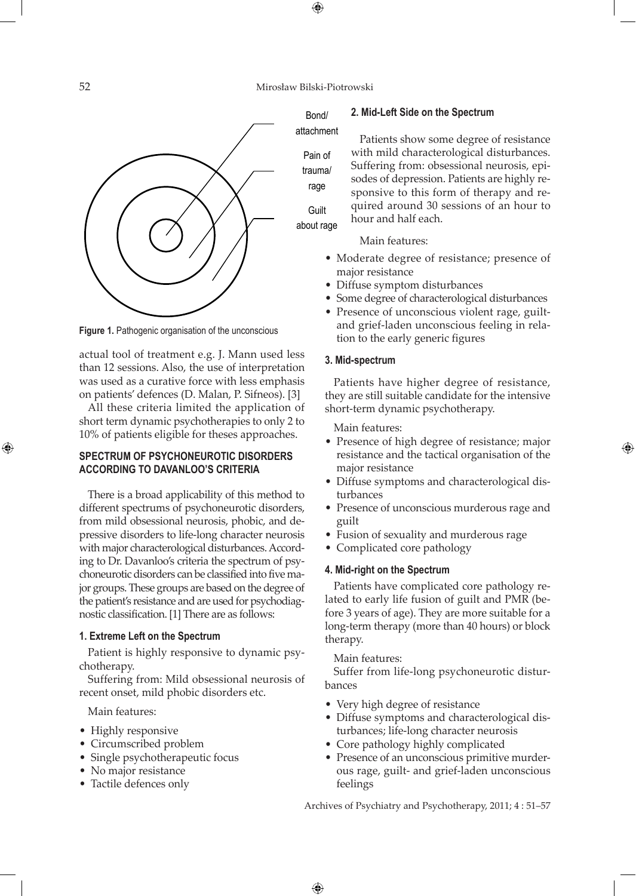$\bigoplus$ 

Bond/



**Figure 1.** Pathogenic organisation of the unconscious

actual tool of treatment e.g. J. Mann used less than 12 sessions. Also, the use of interpretation was used as a curative force with less emphasis on patients' defences (D. Malan, P. Sifneos). [3]

All these criteria limited the application of short term dynamic psychotherapies to only 2 to 10% of patients eligible for theses approaches.

## **Spectrum of Psychoneurotic Disorders according to Davanloo's criteria**

There is a broad applicability of this method to different spectrums of psychoneurotic disorders, from mild obsessional neurosis, phobic, and depressive disorders to life-long character neurosis with major characterological disturbances. According to Dr. Davanloo's criteria the spectrum of psychoneurotic disorders can be classified into five major groups. These groups are based on the degree of the patient's resistance and are used for psychodiagnostic classification. [1] There are as follows:

#### **1. Extreme Left on the Spectrum**

Patient is highly responsive to dynamic psychotherapy.

Suffering from: Mild obsessional neurosis of recent onset, mild phobic disorders etc.

Main features:

- Highly responsive
- • Circumscribed problem
- Single psychotherapeutic focus
- No major resistance
- Tactile defences only

#### **2. Mid-Left Side on the Spectrum**



Pain of trauma/

rage Guilt

about rage

Main features:

hour and half each.

• Moderate degree of resistance; presence of major resistance

Patients show some degree of resistance with mild characterological disturbances. Suffering from: obsessional neurosis, episodes of depression. Patients are highly responsive to this form of therapy and required around 30 sessions of an hour to

- Diffuse symptom disturbances
- Some degree of characterological disturbances
- Presence of unconscious violent rage, guiltand grief-laden unconscious feeling in relation to the early generic figures

#### **3. Mid-spectrum**

Patients have higher degree of resistance, they are still suitable candidate for the intensive short-term dynamic psychotherapy.

Main features:

• Presence of high degree of resistance; major resistance and the tactical organisation of the major resistance

⊕

- • Diffuse symptoms and characterological disturbances
- • Presence of unconscious murderous rage and guilt
- Fusion of sexuality and murderous rage
- Complicated core pathology

#### **4. Mid-right on the Spectrum**

Patients have complicated core pathology related to early life fusion of guilt and PMR (before 3 years of age). They are more suitable for a long-term therapy (more than 40 hours) or block therapy.

Main features:

 $\bigoplus$ 

Suffer from life-long psychoneurotic disturbances

- Very high degree of resistance
- • Diffuse symptoms and characterological disturbances; life-long character neurosis
- Core pathology highly complicated
- Presence of an unconscious primitive murderous rage, guilt- and grief-laden unconscious feelings

Archives of Psychiatry and Psychotherapy, 2011; 4 : 51–57



⊕

attachment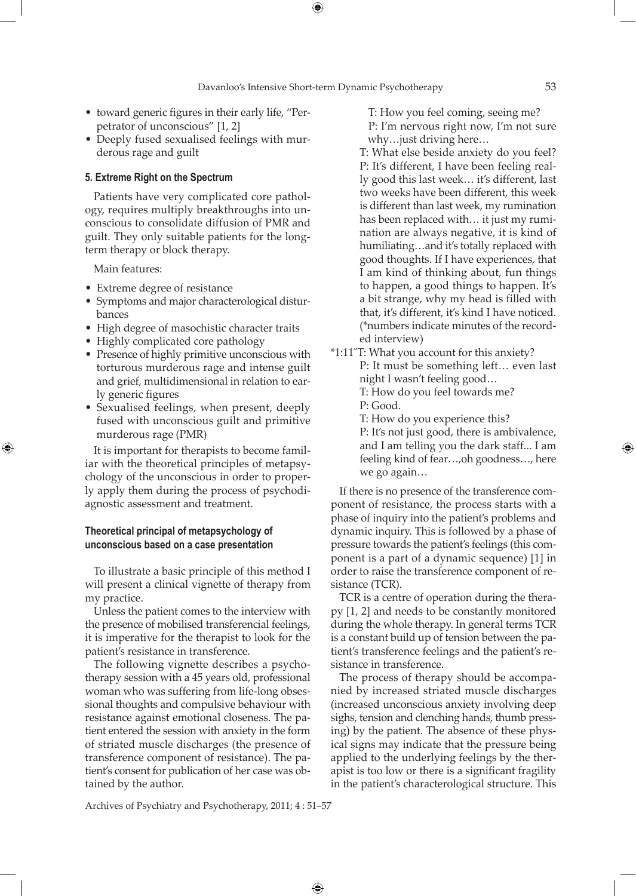⊕

- toward generic figures in their early life, "Perpetrator of unconscious" [1, 2]
- Deeply fused sexualised feelings with murderous rage and guilt

#### **5. Extreme Right on the Spectrum**

Patients have very complicated core pathology, requires multiply breakthroughs into unconscious to consolidate diffusion of PMR and guilt. They only suitable patients for the longterm therapy or block therapy.

Main features:

⊕

- Extreme degree of resistance
- • Symptoms and major characterological disturbances
- High degree of masochistic character traits
- Highly complicated core pathology
- Presence of highly primitive unconscious with torturous murderous rage and intense guilt and grief, multidimensional in relation to early generic figures
- Sexualised feelings, when present, deeply fused with unconscious guilt and primitive murderous rage (PMR)

It is important for therapists to become familiar with the theoretical principles of metapsychology of the unconscious in order to properly apply them during the process of psychodiagnostic assessment and treatment.

### **Theoretical principal of metapsychology of unconscious based on a case presentation**

To illustrate a basic principle of this method I will present a clinical vignette of therapy from my practice.

Unless the patient comes to the interview with the presence of mobilised transferencial feelings, it is imperative for the therapist to look for the patient's resistance in transference.

The following vignette describes a psychotherapy session with a 45 years old, professional woman who was suffering from life-long obsessional thoughts and compulsive behaviour with resistance against emotional closeness. The patient entered the session with anxiety in the form of striated muscle discharges (the presence of transference component of resistance). The patient's consent for publication of her case was obtained by the author.

T: How you feel coming, seeing me? P: I'm nervous right now, I'm not sure why…just driving here…

T: What else beside anxiety do you feel? P: It's different, I have been feeling really good this last week… it's different, last two weeks have been different, this week is different than last week, my rumination has been replaced with… it just my rumination are always negative, it is kind of humiliating…and it's totally replaced with good thoughts. If I have experiences, that I am kind of thinking about, fun things to happen, a good things to happen. It's a bit strange, why my head is filled with that, it's different, it's kind I have noticed. (\*numbers indicate minutes of the recorded interview)

\*1:11˝T: What you account for this anxiety? P: It must be something left… even last night I wasn't feeling good… T: How do you feel towards me? P: Good.

T: How do you experience this?

P: It's not just good, there is ambivalence, and I am telling you the dark staff... I am feeling kind of fear…,oh goodness…, here we go again…

If there is no presence of the transference component of resistance, the process starts with a phase of inquiry into the patient's problems and dynamic inquiry. This is followed by a phase of pressure towards the patient's feelings (this component is a part of a dynamic sequence) [1] in order to raise the transference component of resistance (TCR).

TCR is a centre of operation during the therapy [1, 2] and needs to be constantly monitored during the whole therapy. In general terms TCR is a constant build up of tension between the patient's transference feelings and the patient's resistance in transference.

The process of therapy should be accompanied by increased striated muscle discharges (increased unconscious anxiety involving deep sighs, tension and clenching hands, thumb pressing) by the patient. The absence of these physical signs may indicate that the pressure being applied to the underlying feelings by the therapist is too low or there is a significant fragility in the patient's characterological structure. This

Archives of Psychiatry and Psychotherapy, 2011; 4 : 51–57

 $\bigoplus$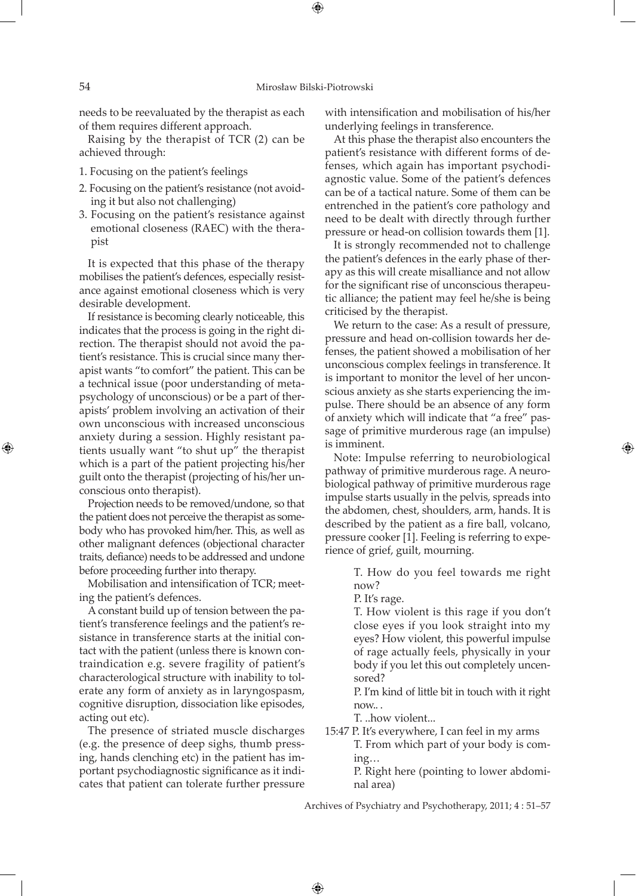needs to be reevaluated by the therapist as each of them requires different approach.

Raising by the therapist of TCR (2) can be achieved through:

- 1. Focusing on the patient's feelings
- 2. Focusing on the patient's resistance (not avoiding it but also not challenging)
- 3. Focusing on the patient's resistance against emotional closeness (RAEC) with the therapist

It is expected that this phase of the therapy mobilises the patient's defences, especially resistance against emotional closeness which is very desirable development.

If resistance is becoming clearly noticeable, this indicates that the process is going in the right direction. The therapist should not avoid the patient's resistance. This is crucial since many therapist wants "to comfort" the patient. This can be a technical issue (poor understanding of metapsychology of unconscious) or be a part of therapists' problem involving an activation of their own unconscious with increased unconscious anxiety during a session. Highly resistant patients usually want "to shut up" the therapist which is a part of the patient projecting his/her guilt onto the therapist (projecting of his/her unconscious onto therapist).

Projection needs to be removed/undone, so that the patient does not perceive the therapist as somebody who has provoked him/her. This, as well as other malignant defences (objectional character traits, defiance) needs to be addressed and undone before proceeding further into therapy.

Mobilisation and intensification of TCR; meeting the patient's defences.

A constant build up of tension between the patient's transference feelings and the patient's resistance in transference starts at the initial contact with the patient (unless there is known contraindication e.g. severe fragility of patient's characterological structure with inability to tolerate any form of anxiety as in laryngospasm, cognitive disruption, dissociation like episodes, acting out etc).

The presence of striated muscle discharges (e.g. the presence of deep sighs, thumb pressing, hands clenching etc) in the patient has important psychodiagnostic significance as it indicates that patient can tolerate further pressure

with intensification and mobilisation of his/her underlying feelings in transference.

At this phase the therapist also encounters the patient's resistance with different forms of defenses, which again has important psychodiagnostic value. Some of the patient's defences can be of a tactical nature. Some of them can be entrenched in the patient's core pathology and need to be dealt with directly through further pressure or head-on collision towards them [1].

It is strongly recommended not to challenge the patient's defences in the early phase of therapy as this will create misalliance and not allow for the significant rise of unconscious therapeutic alliance; the patient may feel he/she is being criticised by the therapist.

We return to the case: As a result of pressure, pressure and head on-collision towards her defenses, the patient showed a mobilisation of her unconscious complex feelings in transference. It is important to monitor the level of her unconscious anxiety as she starts experiencing the impulse. There should be an absence of any form of anxiety which will indicate that "a free" passage of primitive murderous rage (an impulse) is imminent.

Note: Impulse referring to neurobiological pathway of primitive murderous rage. A neurobiological pathway of primitive murderous rage impulse starts usually in the pelvis, spreads into the abdomen, chest, shoulders, arm, hands. It is described by the patient as a fire ball, volcano, pressure cooker [1]. Feeling is referring to experience of grief, guilt, mourning.

⊕

T. How do you feel towards me right now?

P. It's rage.

T. How violent is this rage if you don't close eyes if you look straight into my eyes? How violent, this powerful impulse of rage actually feels, physically in your body if you let this out completely uncensored?

P. I'm kind of little bit in touch with it right now.. .

T. ..how violent...

 $\bigoplus$ 

15:47 P. It's everywhere, I can feel in my arms

T. From which part of your body is coming…

P. Right here (pointing to lower abdominal area)

Archives of Psychiatry and Psychotherapy, 2011; 4 : 51–57

⊕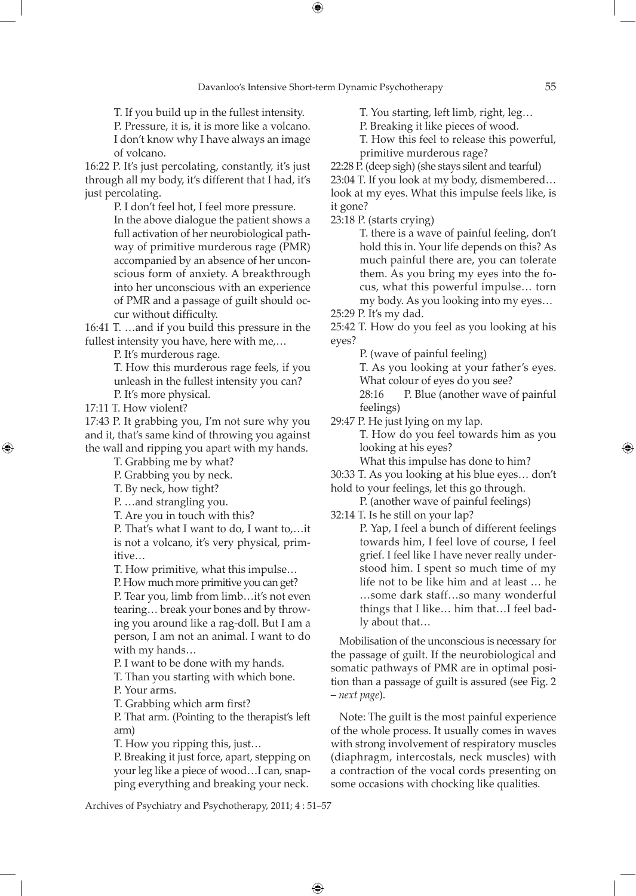⊕

T. If you build up in the fullest intensity.

P. Pressure, it is, it is more like a volcano. I don't know why I have always an image of volcano.

16:22 P. It's just percolating, constantly, it's just through all my body, it's different that I had, it's just percolating.

P. I don't feel hot, I feel more pressure.

In the above dialogue the patient shows a full activation of her neurobiological pathway of primitive murderous rage (PMR) accompanied by an absence of her unconscious form of anxiety. A breakthrough into her unconscious with an experience of PMR and a passage of guilt should occur without difficulty.

16:41 T. …and if you build this pressure in the fullest intensity you have, here with me,…

P. It's murderous rage.

T. How this murderous rage feels, if you unleash in the fullest intensity you can? P. It's more physical.

17:11 T. How violent?

⊕

17:43 P. It grabbing you, I'm not sure why you and it, that's same kind of throwing you against the wall and ripping you apart with my hands.

T. Grabbing me by what?

P. Grabbing you by neck.

T. By neck, how tight?

P. …and strangling you.

T. Are you in touch with this?

P. That's what I want to do, I want to,…it is not a volcano, it's very physical, primitive…

T. How primitive, what this impulse…

P. How much more primitive you can get?

P. Tear you, limb from limb…it's not even tearing… break your bones and by throwing you around like a rag-doll. But I am a person, I am not an animal. I want to do with my hands…

P. I want to be done with my hands.

T. Than you starting with which bone.

P. Your arms.

T. Grabbing which arm first?

P. That arm. (Pointing to the therapist's left arm)

T. How you ripping this, just…

P. Breaking it just force, apart, stepping on your leg like a piece of wood…I can, snapping everything and breaking your neck.

T. You starting, left limb, right, leg…

P. Breaking it like pieces of wood.

T. How this feel to release this powerful,

primitive murderous rage?

22:28 P. (deep sigh) (she stays silent and tearful)

23:04 T. If you look at my body, dismembered… look at my eyes. What this impulse feels like, is it gone?

23:18 P. (starts crying)

T. there is a wave of painful feeling, don't hold this in. Your life depends on this? As much painful there are, you can tolerate them. As you bring my eyes into the focus, what this powerful impulse… torn my body. As you looking into my eyes…

25:29 P. It's my dad.

25:42 T. How do you feel as you looking at his eyes?

P. (wave of painful feeling)

T. As you looking at your father's eyes. What colour of eyes do you see?

28:16 P. Blue (another wave of painful feelings)

29:47 P. He just lying on my lap.

T. How do you feel towards him as you looking at his eyes?

What this impulse has done to him?

30:33 T. As you looking at his blue eyes… don't

hold to your feelings, let this go through. P. (another wave of painful feelings)

32:14 T. Is he still on your lap?

P. Yap, I feel a bunch of different feelings towards him, I feel love of course, I feel grief. I feel like I have never really understood him. I spent so much time of my life not to be like him and at least … he …some dark staff…so many wonderful things that I like… him that…I feel badly about that…

Mobilisation of the unconscious is necessary for the passage of guilt. If the neurobiological and somatic pathways of PMR are in optimal position than a passage of guilt is assured (see Fig. 2 – *next page*).

Note: The guilt is the most painful experience of the whole process. It usually comes in waves with strong involvement of respiratory muscles (diaphragm, intercostals, neck muscles) with a contraction of the vocal cords presenting on some occasions with chocking like qualities.

Archives of Psychiatry and Psychotherapy, 2011; 4 : 51–57

 $\bigoplus$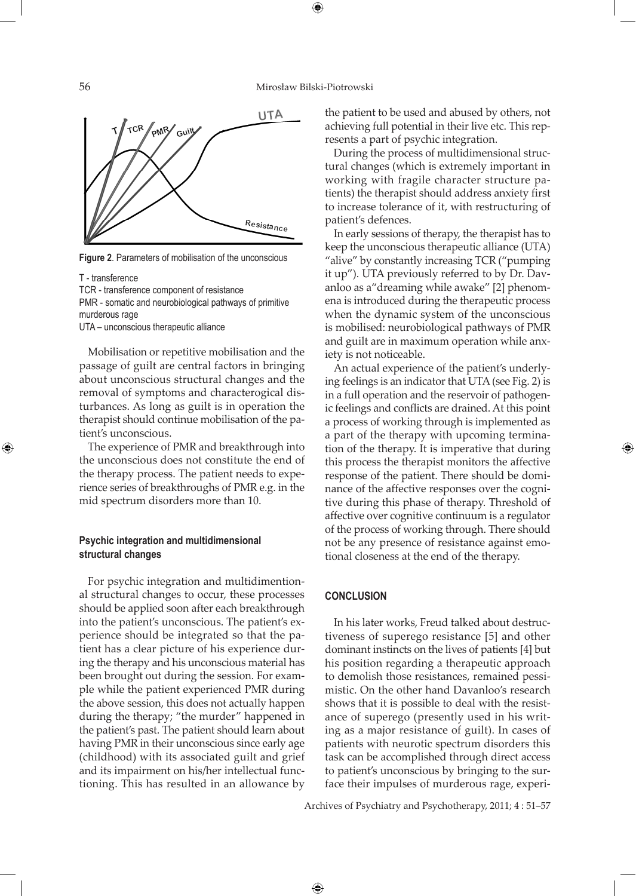$\bigoplus$ 



**Figure 2**. Parameters of mobilisation of the unconscious

T - transference

⊕

TCR - transference component of resistance

PMR - somatic and neurobiological pathways of primitive murderous rage

UTA – unconscious therapeutic alliance

Mobilisation or repetitive mobilisation and the passage of guilt are central factors in bringing about unconscious structural changes and the removal of symptoms and characterogical disturbances. As long as guilt is in operation the therapist should continue mobilisation of the patient's unconscious.

The experience of PMR and breakthrough into the unconscious does not constitute the end of the therapy process. The patient needs to experience series of breakthroughs of PMR e.g. in the mid spectrum disorders more than 10.

### **Psychic integration and multidimensional structural changes**

For psychic integration and multidimentional structural changes to occur, these processes should be applied soon after each breakthrough into the patient's unconscious. The patient's experience should be integrated so that the patient has a clear picture of his experience during the therapy and his unconscious material has been brought out during the session. For example while the patient experienced PMR during the above session, this does not actually happen during the therapy; "the murder" happened in the patient's past. The patient should learn about having PMR in their unconscious since early age (childhood) with its associated guilt and grief and its impairment on his/her intellectual functioning. This has resulted in an allowance by

the patient to be used and abused by others, not achieving full potential in their live etc. This represents a part of psychic integration.

During the process of multidimensional structural changes (which is extremely important in working with fragile character structure patients) the therapist should address anxiety first to increase tolerance of it, with restructuring of patient's defences.

In early sessions of therapy, the therapist has to keep the unconscious therapeutic alliance (UTA) "alive" by constantly increasing TCR ("pumping it up"). UTA previously referred to by Dr. Davanloo as a"dreaming while awake" [2] phenomena is introduced during the therapeutic process when the dynamic system of the unconscious is mobilised: neurobiological pathways of PMR and guilt are in maximum operation while anxiety is not noticeable.

An actual experience of the patient's underlying feelings is an indicator that UTA (see Fig. 2) is in a full operation and the reservoir of pathogenic feelings and conflicts are drained. At this point a process of working through is implemented as a part of the therapy with upcoming termination of the therapy. It is imperative that during this process the therapist monitors the affective response of the patient. There should be dominance of the affective responses over the cognitive during this phase of therapy. Threshold of affective over cognitive continuum is a regulator of the process of working through. There should not be any presence of resistance against emotional closeness at the end of the therapy.

⊕

#### **CONCLUSION**

 $\bigoplus$ 

In his later works, Freud talked about destructiveness of superego resistance [5] and other dominant instincts on the lives of patients [4] but his position regarding a therapeutic approach to demolish those resistances, remained pessimistic. On the other hand Davanloo's research shows that it is possible to deal with the resistance of superego (presently used in his writing as a major resistance of guilt). In cases of patients with neurotic spectrum disorders this task can be accomplished through direct access to patient's unconscious by bringing to the surface their impulses of murderous rage, experi-

Archives of Psychiatry and Psychotherapy, 2011; 4 : 51–57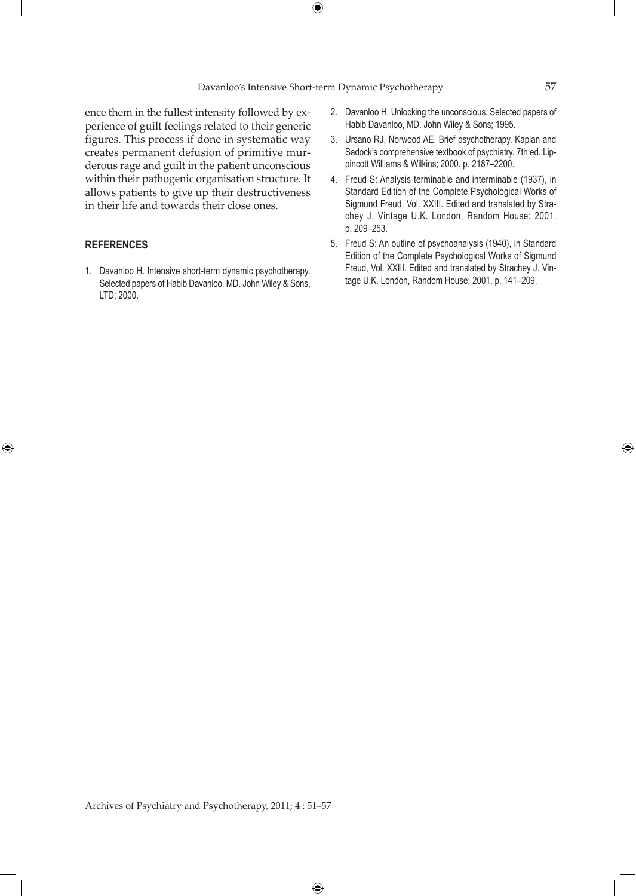ence them in the fullest intensity followed by experience of guilt feelings related to their generic figures. This process if done in systematic way creates permanent defusion of primitive murderous rage and guilt in the patient unconscious within their pathogenic organisation structure. It allows patients to give up their destructiveness in their life and towards their close ones.

### **REFERENCES**

 $\bigoplus$ 

1. Davanloo H. Intensive short-term dynamic psychotherapy. Selected papers of Habib Davanloo, MD. John Wiley & Sons, LTD; 2000.

- 2. Davanloo H. Unlocking the unconscious. Selected papers of Habib Davanloo, MD. John Wiley & Sons; 1995.
- 3. Ursano RJ, Norwood AE. Brief psychotherapy. Kaplan and Sadock's comprehensive textbook of psychiatry. 7th ed. Lippincott Williams & Wilkins; 2000. p. 2187–2200.
- 4. Freud S: Analysis terminable and interminable (1937), in Standard Edition of the Complete Psychological Works of Sigmund Freud, Vol. XXIII. Edited and translated by Strachey J. Vintage U.K. London, Random House; 2001. p. 209–253.
- 5. Freud S: An outline of psychoanalysis (1940), in Standard Edition of the Complete Psychological Works of Sigmund Freud, Vol. XXIII. Edited and translated by Strachey J. Vintage U.K. London, Random House; 2001. p. 141–209.

Archives of Psychiatry and Psychotherapy, 2011; 4 : 51–57

 $\bigoplus$ 

⊕